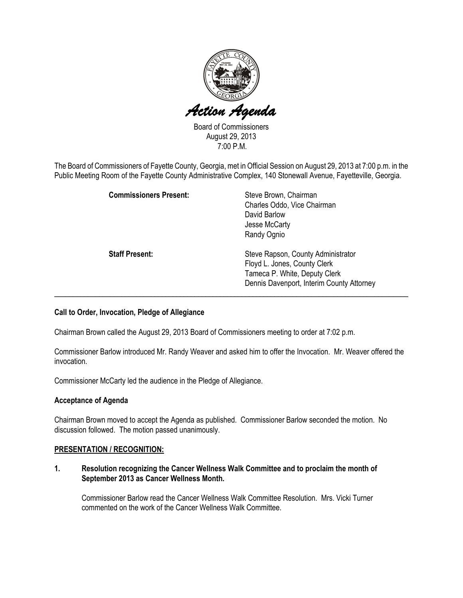

Board of Commissioners August 29, 2013 7:00 P.M.

The Board of Commissioners of Fayette County, Georgia, met in Official Session on August 29, 2013 at 7:00 p.m. in the Public Meeting Room of the Fayette County Administrative Complex, 140 Stonewall Avenue, Fayetteville, Georgia.

| <b>Commissioners Present:</b> | Steve Brown, Chairman<br>Charles Oddo, Vice Chairman<br>David Barlow<br>Jesse McCarty<br>Randy Ognio                                             |
|-------------------------------|--------------------------------------------------------------------------------------------------------------------------------------------------|
| <b>Staff Present:</b>         | Steve Rapson, County Administrator<br>Floyd L. Jones, County Clerk<br>Tameca P. White, Deputy Clerk<br>Dennis Davenport, Interim County Attorney |

#### Call to Order, Invocation, Pledge of Allegiance

Chairman Brown called the August 29, 2013 Board of Commissioners meeting to order at 7:02 p.m.

Commissioner Barlow introduced Mr. Randy Weaver and asked him to offer the Invocation. Mr. Weaver offered the invocation.

Commissioner McCarty led the audience in the Pledge of Allegiance.

#### Acceptance of Agenda

Chairman Brown moved to accept the Agenda as published. Commissioner Barlow seconded the motion. No discussion followed. The motion passed unanimously.

#### PRESENTATION / RECOGNITION:

1. Resolution recognizing the Cancer Wellness Walk Committee and to proclaim the month of September 2013 as Cancer Wellness Month.

Commissioner Barlow read the Cancer Wellness Walk Committee Resolution. Mrs. Vicki Turner commented on the work of the Cancer Wellness Walk Committee.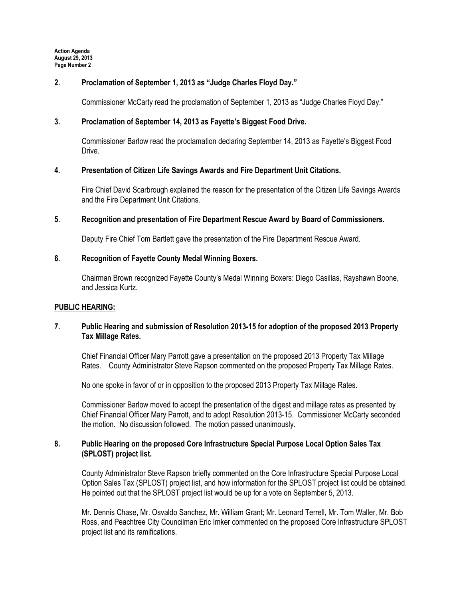## 2. Proclamation of September 1, 2013 as "Judge Charles Floyd Day."

Commissioner McCarty read the proclamation of September 1, 2013 as "Judge Charles Floyd Day."

## 3. Proclamation of September 14, 2013 as Fayette's Biggest Food Drive.

Commissioner Barlow read the proclamation declaring September 14, 2013 as Fayette's Biggest Food Drive.

## 4. Presentation of Citizen Life Savings Awards and Fire Department Unit Citations.

Fire Chief David Scarbrough explained the reason for the presentation of the Citizen Life Savings Awards and the Fire Department Unit Citations.

## 5. Recognition and presentation of Fire Department Rescue Award by Board of Commissioners.

Deputy Fire Chief Tom Bartlett gave the presentation of the Fire Department Rescue Award.

## 6. Recognition of Fayette County Medal Winning Boxers.

Chairman Brown recognized Fayette County's Medal Winning Boxers: Diego Casillas, Rayshawn Boone, and Jessica Kurtz.

#### PUBLIC HEARING:

## 7. Public Hearing and submission of Resolution 2013-15 for adoption of the proposed 2013 Property Tax Millage Rates.

Chief Financial Officer Mary Parrott gave a presentation on the proposed 2013 Property Tax Millage Rates. County Administrator Steve Rapson commented on the proposed Property Tax Millage Rates.

No one spoke in favor of or in opposition to the proposed 2013 Property Tax Millage Rates.

Commissioner Barlow moved to accept the presentation of the digest and millage rates as presented by Chief Financial Officer Mary Parrott, and to adopt Resolution 2013-15. Commissioner McCarty seconded the motion. No discussion followed. The motion passed unanimously.

## 8. Public Hearing on the proposed Core Infrastructure Special Purpose Local Option Sales Tax (SPLOST) project list.

County Administrator Steve Rapson briefly commented on the Core Infrastructure Special Purpose Local Option Sales Tax (SPLOST) project list, and how information for the SPLOST project list could be obtained. He pointed out that the SPLOST project list would be up for a vote on September 5, 2013.

Mr. Dennis Chase, Mr. Osvaldo Sanchez, Mr. William Grant; Mr. Leonard Terrell, Mr. Tom Waller, Mr. Bob Ross, and Peachtree City Councilman Eric Imker commented on the proposed Core Infrastructure SPLOST project list and its ramifications.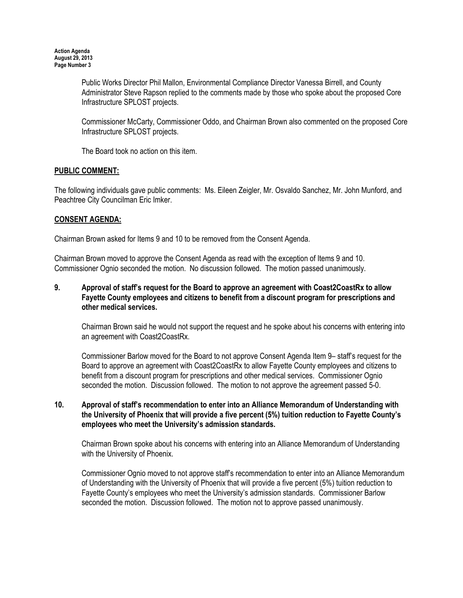Public Works Director Phil Mallon, Environmental Compliance Director Vanessa Birrell, and County Administrator Steve Rapson replied to the comments made by those who spoke about the proposed Core Infrastructure SPLOST projects.

Commissioner McCarty, Commissioner Oddo, and Chairman Brown also commented on the proposed Core Infrastructure SPLOST projects.

The Board took no action on this item.

# PUBLIC COMMENT:

The following individuals gave public comments: Ms. Eileen Zeigler, Mr. Osvaldo Sanchez, Mr. John Munford, and Peachtree City Councilman Eric Imker.

## CONSENT AGENDA:

Chairman Brown asked for Items 9 and 10 to be removed from the Consent Agenda.

Chairman Brown moved to approve the Consent Agenda as read with the exception of Items 9 and 10. Commissioner Ognio seconded the motion. No discussion followed. The motion passed unanimously.

## 9. Approval of staff's request for the Board to approve an agreement with Coast2CoastRx to allow Fayette County employees and citizens to benefit from a discount program for prescriptions and other medical services.

Chairman Brown said he would not support the request and he spoke about his concerns with entering into an agreement with Coast2CoastRx.

Commissioner Barlow moved for the Board to not approve Consent Agenda Item 9– staff's request for the Board to approve an agreement with Coast2CoastRx to allow Fayette County employees and citizens to benefit from a discount program for prescriptions and other medical services. Commissioner Ognio seconded the motion. Discussion followed. The motion to not approve the agreement passed 5-0.

#### 10. Approval of staff's recommendation to enter into an Alliance Memorandum of Understanding with the University of Phoenix that will provide a five percent (5%) tuition reduction to Fayette County's employees who meet the University's admission standards.

Chairman Brown spoke about his concerns with entering into an Alliance Memorandum of Understanding with the University of Phoenix.

Commissioner Ognio moved to not approve staff's recommendation to enter into an Alliance Memorandum of Understanding with the University of Phoenix that will provide a five percent (5%) tuition reduction to Fayette County's employees who meet the University's admission standards. Commissioner Barlow seconded the motion. Discussion followed. The motion not to approve passed unanimously.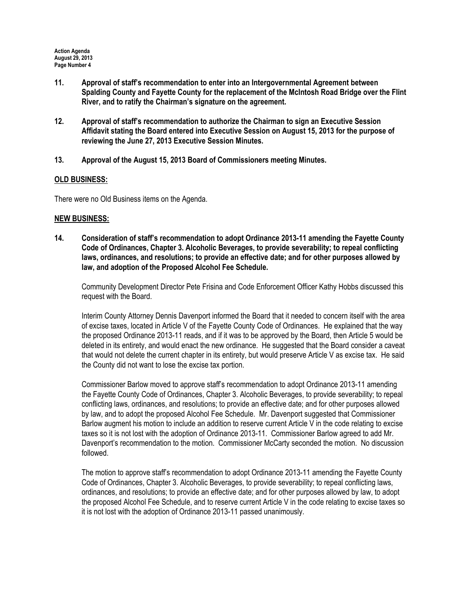- 11. Approval of staff's recommendation to enter into an Intergovernmental Agreement between Spalding County and Fayette County for the replacement of the McIntosh Road Bridge over the Flint River, and to ratify the Chairman's signature on the agreement.
- 12. Approval of staff's recommendation to authorize the Chairman to sign an Executive Session Affidavit stating the Board entered into Executive Session on August 15, 2013 for the purpose of reviewing the June 27, 2013 Executive Session Minutes.
- 13. Approval of the August 15, 2013 Board of Commissioners meeting Minutes.

## OLD BUSINESS:

There were no Old Business items on the Agenda.

## NEW BUSINESS:

14. Consideration of staff's recommendation to adopt Ordinance 2013-11 amending the Fayette County Code of Ordinances, Chapter 3. Alcoholic Beverages, to provide severability; to repeal conflicting laws, ordinances, and resolutions; to provide an effective date; and for other purposes allowed by law, and adoption of the Proposed Alcohol Fee Schedule.

Community Development Director Pete Frisina and Code Enforcement Officer Kathy Hobbs discussed this request with the Board.

Interim County Attorney Dennis Davenport informed the Board that it needed to concern itself with the area of excise taxes, located in Article V of the Fayette County Code of Ordinances. He explained that the way the proposed Ordinance 2013-11 reads, and if it was to be approved by the Board, then Article 5 would be deleted in its entirety, and would enact the new ordinance. He suggested that the Board consider a caveat that would not delete the current chapter in its entirety, but would preserve Article V as excise tax. He said the County did not want to lose the excise tax portion.

Commissioner Barlow moved to approve staff's recommendation to adopt Ordinance 2013-11 amending the Fayette County Code of Ordinances, Chapter 3. Alcoholic Beverages, to provide severability; to repeal conflicting laws, ordinances, and resolutions; to provide an effective date; and for other purposes allowed by law, and to adopt the proposed Alcohol Fee Schedule. Mr. Davenport suggested that Commissioner Barlow augment his motion to include an addition to reserve current Article V in the code relating to excise taxes so it is not lost with the adoption of Ordinance 2013-11. Commissioner Barlow agreed to add Mr. Davenport's recommendation to the motion. Commissioner McCarty seconded the motion. No discussion followed.

The motion to approve staff's recommendation to adopt Ordinance 2013-11 amending the Fayette County Code of Ordinances, Chapter 3. Alcoholic Beverages, to provide severability; to repeal conflicting laws, ordinances, and resolutions; to provide an effective date; and for other purposes allowed by law, to adopt the proposed Alcohol Fee Schedule, and to reserve current Article V in the code relating to excise taxes so it is not lost with the adoption of Ordinance 2013-11 passed unanimously.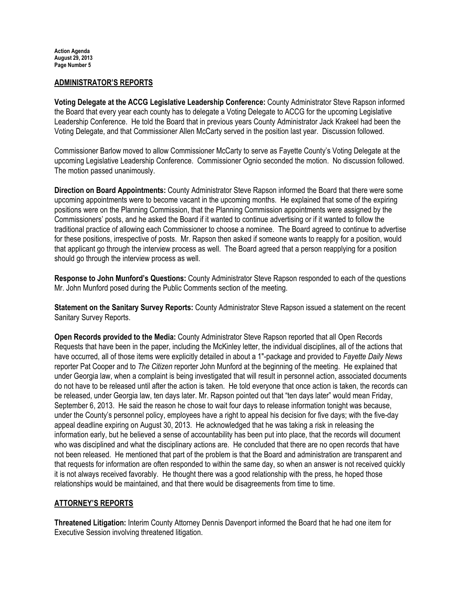#### ADMINISTRATOR'S REPORTS

Voting Delegate at the ACCG Legislative Leadership Conference: County Administrator Steve Rapson informed the Board that every year each county has to delegate a Voting Delegate to ACCG for the upcoming Legislative Leadership Conference. He told the Board that in previous years County Administrator Jack Krakeel had been the Voting Delegate, and that Commissioner Allen McCarty served in the position last year. Discussion followed.

Commissioner Barlow moved to allow Commissioner McCarty to serve as Fayette County's Voting Delegate at the upcoming Legislative Leadership Conference. Commissioner Ognio seconded the motion. No discussion followed. The motion passed unanimously.

Direction on Board Appointments: County Administrator Steve Rapson informed the Board that there were some upcoming appointments were to become vacant in the upcoming months. He explained that some of the expiring positions were on the Planning Commission, that the Planning Commission appointments were assigned by the Commissioners' posts, and he asked the Board if it wanted to continue advertising or if it wanted to follow the traditional practice of allowing each Commissioner to choose a nominee. The Board agreed to continue to advertise for these positions, irrespective of posts. Mr. Rapson then asked if someone wants to reapply for a position, would that applicant go through the interview process as well. The Board agreed that a person reapplying for a position should go through the interview process as well.

Response to John Munford's Questions: County Administrator Steve Rapson responded to each of the questions Mr. John Munford posed during the Public Comments section of the meeting.

Statement on the Sanitary Survey Reports: County Administrator Steve Rapson issued a statement on the recent Sanitary Survey Reports.

Open Records provided to the Media: County Administrator Steve Rapson reported that all Open Records Requests that have been in the paper, including the McKinley letter, the individual disciplines, all of the actions that have occurred, all of those items were explicitly detailed in about a 1"-package and provided to Fayette Daily News reporter Pat Cooper and to *The Citizen* reporter John Munford at the beginning of the meeting. He explained that under Georgia law, when a complaint is being investigated that will result in personnel action, associated documents do not have to be released until after the action is taken. He told everyone that once action is taken, the records can be released, under Georgia law, ten days later. Mr. Rapson pointed out that "ten days later" would mean Friday, September 6, 2013. He said the reason he chose to wait four days to release information tonight was because, under the County's personnel policy, employees have a right to appeal his decision for five days; with the five-day appeal deadline expiring on August 30, 2013. He acknowledged that he was taking a risk in releasing the information early, but he believed a sense of accountability has been put into place, that the records will document who was disciplined and what the disciplinary actions are. He concluded that there are no open records that have not been released. He mentioned that part of the problem is that the Board and administration are transparent and that requests for information are often responded to within the same day, so when an answer is not received quickly it is not always received favorably. He thought there was a good relationship with the press, he hoped those relationships would be maintained, and that there would be disagreements from time to time.

# ATTORNEY'S REPORTS

Threatened Litigation: Interim County Attorney Dennis Davenport informed the Board that he had one item for Executive Session involving threatened litigation.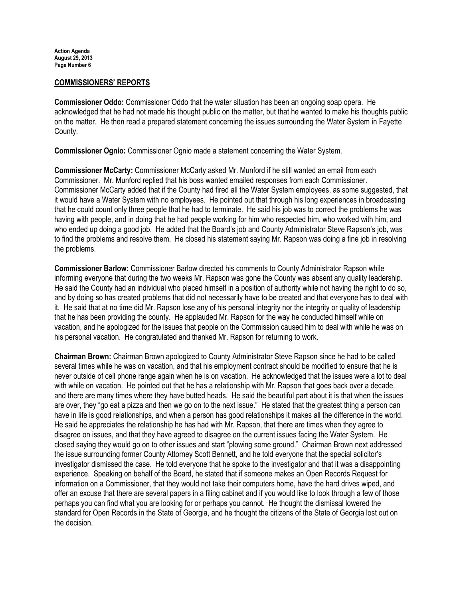Action Agenda August 29, 2013 Page Number 6

#### COMMISSIONERS' REPORTS

Commissioner Oddo: Commissioner Oddo that the water situation has been an ongoing soap opera. He acknowledged that he had not made his thought public on the matter, but that he wanted to make his thoughts public on the matter. He then read a prepared statement concerning the issues surrounding the Water System in Fayette County.

Commissioner Ognio: Commissioner Ognio made a statement concerning the Water System.

Commissioner McCarty: Commissioner McCarty asked Mr. Munford if he still wanted an email from each Commissioner. Mr. Munford replied that his boss wanted emailed responses from each Commissioner. Commissioner McCarty added that if the County had fired all the Water System employees, as some suggested, that it would have a Water System with no employees. He pointed out that through his long experiences in broadcasting that he could count only three people that he had to terminate. He said his job was to correct the problems he was having with people, and in doing that he had people working for him who respected him, who worked with him, and who ended up doing a good job. He added that the Board's job and County Administrator Steve Rapson's job, was to find the problems and resolve them. He closed his statement saying Mr. Rapson was doing a fine job in resolving the problems.

Commissioner Barlow: Commissioner Barlow directed his comments to County Administrator Rapson while informing everyone that during the two weeks Mr. Rapson was gone the County was absent any quality leadership. He said the County had an individual who placed himself in a position of authority while not having the right to do so, and by doing so has created problems that did not necessarily have to be created and that everyone has to deal with it. He said that at no time did Mr. Rapson lose any of his personal integrity nor the integrity or quality of leadership that he has been providing the county. He applauded Mr. Rapson for the way he conducted himself while on vacation, and he apologized for the issues that people on the Commission caused him to deal with while he was on his personal vacation. He congratulated and thanked Mr. Rapson for returning to work.

Chairman Brown: Chairman Brown apologized to County Administrator Steve Rapson since he had to be called several times while he was on vacation, and that his employment contract should be modified to ensure that he is never outside of cell phone range again when he is on vacation. He acknowledged that the issues were a lot to deal with while on vacation. He pointed out that he has a relationship with Mr. Rapson that goes back over a decade, and there are many times where they have butted heads. He said the beautiful part about it is that when the issues are over, they "go eat a pizza and then we go on to the next issue." He stated that the greatest thing a person can have in life is good relationships, and when a person has good relationships it makes all the difference in the world. He said he appreciates the relationship he has had with Mr. Rapson, that there are times when they agree to disagree on issues, and that they have agreed to disagree on the current issues facing the Water System. He closed saying they would go on to other issues and start "plowing some ground." Chairman Brown next addressed the issue surrounding former County Attorney Scott Bennett, and he told everyone that the special solicitor's investigator dismissed the case. He told everyone that he spoke to the investigator and that it was a disappointing experience. Speaking on behalf of the Board, he stated that if someone makes an Open Records Request for information on a Commissioner, that they would not take their computers home, have the hard drives wiped, and offer an excuse that there are several papers in a filing cabinet and if you would like to look through a few of those perhaps you can find what you are looking for or perhaps you cannot. He thought the dismissal lowered the standard for Open Records in the State of Georgia, and he thought the citizens of the State of Georgia lost out on the decision.